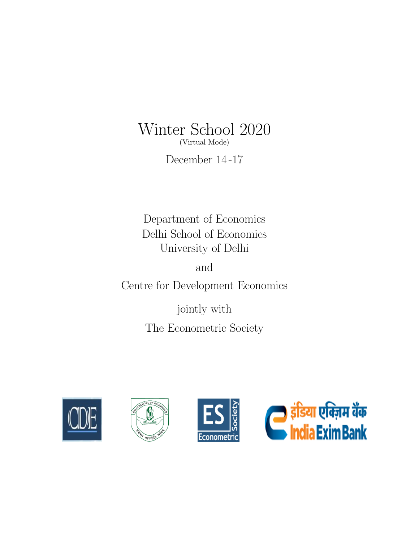# Winter School 2020 (Virtual Mode)

December 14 -17

Department of Economics Delhi School of Economics University of Delhi

and Centre for Development Economics

> jointly with The Econometric Society







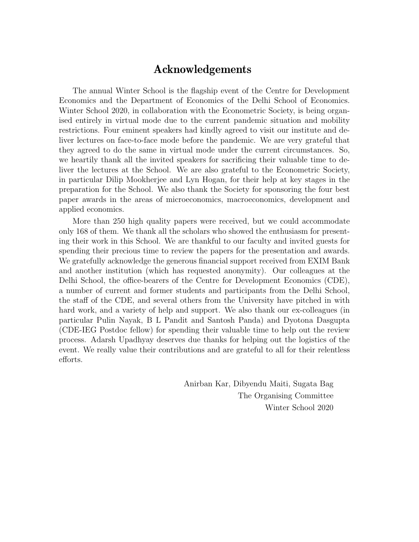## Acknowledgements

The annual Winter School is the flagship event of the Centre for Development Economics and the Department of Economics of the Delhi School of Economics. Winter School 2020, in collaboration with the Econometric Society, is being organised entirely in virtual mode due to the current pandemic situation and mobility restrictions. Four eminent speakers had kindly agreed to visit our institute and deliver lectures on face-to-face mode before the pandemic. We are very grateful that they agreed to do the same in virtual mode under the current circumstances. So, we heartily thank all the invited speakers for sacrificing their valuable time to deliver the lectures at the School. We are also grateful to the Econometric Society, in particular Dilip Mookherjee and Lyn Hogan, for their help at key stages in the preparation for the School. We also thank the Society for sponsoring the four best paper awards in the areas of microeconomics, macroeconomics, development and applied economics.

More than 250 high quality papers were received, but we could accommodate only 168 of them. We thank all the scholars who showed the enthusiasm for presenting their work in this School. We are thankful to our faculty and invited guests for spending their precious time to review the papers for the presentation and awards. We gratefully acknowledge the generous financial support received from EXIM Bank and another institution (which has requested anonymity). Our colleagues at the Delhi School, the office-bearers of the Centre for Development Economics (CDE), a number of current and former students and participants from the Delhi School, the staff of the CDE, and several others from the University have pitched in with hard work, and a variety of help and support. We also thank our ex-colleagues (in particular Pulin Nayak, B L Pandit and Santosh Panda) and Dyotona Dasgupta (CDE-IEG Postdoc fellow) for spending their valuable time to help out the review process. Adarsh Upadhyay deserves due thanks for helping out the logistics of the event. We really value their contributions and are grateful to all for their relentless efforts.

> Anirban Kar, Dibyendu Maiti, Sugata Bag The Organising Committee Winter School 2020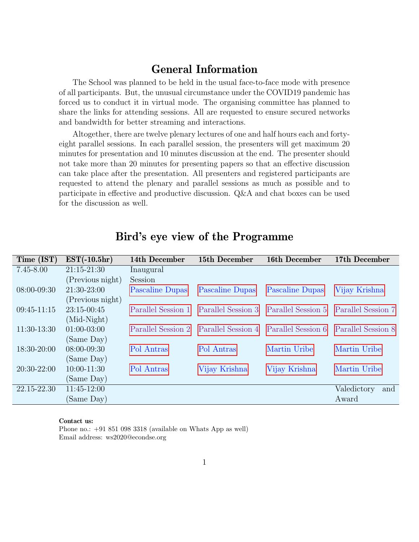## General Information

The School was planned to be held in the usual face-to-face mode with presence of all participants. But, the unusual circumstance under the COVID19 pandemic has forced us to conduct it in virtual mode. The organising committee has planned to share the links for attending sessions. All are requested to ensure secured networks and bandwidth for better streaming and interactions.

Altogether, there are twelve plenary lectures of one and half hours each and fortyeight parallel sessions. In each parallel session, the presenters will get maximum 20 minutes for presentation and 10 minutes discussion at the end. The presenter should not take more than 20 minutes for presenting papers so that an effective discussion can take place after the presentation. All presenters and registered participants are requested to attend the plenary and parallel sessions as much as possible and to participate in effective and productive discussion. Q&A and chat boxes can be used for the discussion as well.

| Time (IST)    | $EST(-10.5hr)$   | 14th December      | 15th December                         | 16th December   | 17th December      |
|---------------|------------------|--------------------|---------------------------------------|-----------------|--------------------|
| $7.45 - 8.00$ | $21:15-21:30$    | Inaugural          |                                       |                 |                    |
|               | (Previous night) | Session            |                                       |                 |                    |
| $08:00-09:30$ | $21:30-23:00$    | Pascaline Dupas    | Pascaline Dupas                       | Pascaline Dupas | Vijay Krishna      |
|               | (Previous night) |                    |                                       |                 |                    |
| $09:45-11:15$ | $23:15-00:45$    | Parallel Session 1 | Parallel Session 3 Parallel Session 5 |                 | Parallel Session 7 |
|               | $(Mid-Night)$    |                    |                                       |                 |                    |
| $11:30-13:30$ | $01:00-03:00$    | Parallel Session 2 | Parallel Session 4 Parallel Session 6 |                 | Parallel Session 8 |
|               | (Same Day)       |                    |                                       |                 |                    |
| 18:30-20:00   | $08:00 - 09:30$  | Pol Antras         | Pol Antras                            | Martin Uribe    | Martin Uribe       |
|               | (Same Day)       |                    |                                       |                 |                    |
| $20:30-22:00$ | $10:00-11:30$    | Pol Antras         | Vijay Krishna                         | Vijay Krishna   | Martin Uribe       |
|               | (Same Day)       |                    |                                       |                 |                    |
| 22.15-22.30   | $11:45-12:00$    |                    |                                       |                 | Valedictory<br>and |
|               | (Same Day)       |                    |                                       |                 | Award              |

## <span id="page-2-0"></span>Bird's eye view of the Programme

#### Contact us:

Phone no.: +91 851 098 3318 (available on Whats App as well) Email address: ws2020@econdse.org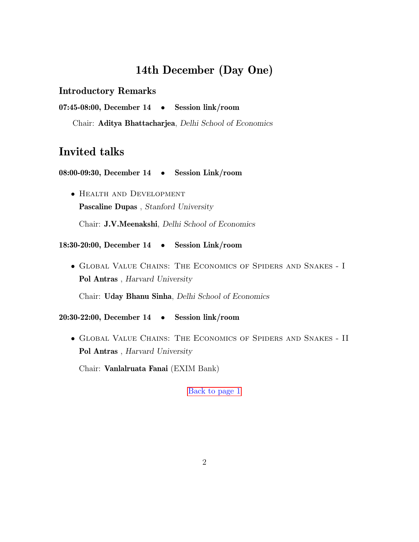# 14th December (Day One)

## Introductory Remarks

07:45-08:00, December 14 • Session link/room

<span id="page-3-0"></span>Chair: Aditya Bhattacharjea, Delhi School of Economics

# Invited talks

08:00-09:30, December 14 • Session Link/room

• Health and Development Pascaline Dupas , Stanford University Chair: J.V.Meenakshi, Delhi School of Economics

#### 18:30-20:00, December 14 • Session Link/room

• Global Value Chains: The Economics of Spiders and Snakes - I Pol Antras , Harvard University

Chair: Uday Bhanu Sinha, Delhi School of Economics

20:30-22:00, December 14 • Session link/room

• Global Value Chains: The Economics of Spiders and Snakes - II Pol Antras , Harvard University

Chair: Vanlalruata Fanai (EXIM Bank)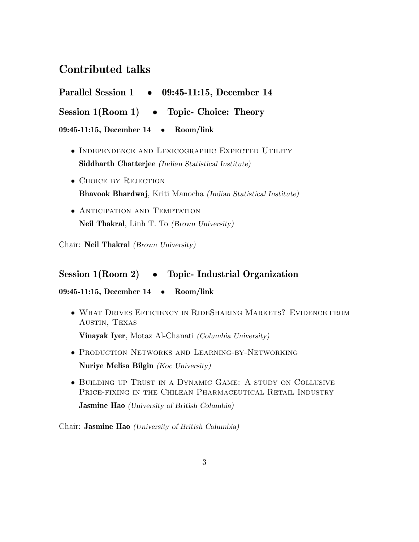## Contributed talks

<span id="page-4-0"></span>

| <b>Parallel Session 1</b><br>09:45-11:15, December 14 |  |
|-------------------------------------------------------|--|
|-------------------------------------------------------|--|

Session 1(Room 1) • Topic- Choice: Theory

09:45-11:15, December 14 • Room/link

- Independence and Lexicographic Expected Utility Siddharth Chatterjee (Indian Statistical Institute)
- CHOICE BY REJECTION Bhavook Bhardwaj, Kriti Manocha (Indian Statistical Institute)
- ANTICIPATION AND TEMPTATION Neil Thakral, Linh T. To (Brown University)

Chair: Neil Thakral (Brown University)

## Session 1(Room 2) • Topic- Industrial Organization

#### 09:45-11:15, December 14 • Room/link

• What Drives Efficiency in RideSharing Markets? Evidence from Austin, Texas

Vinayak Iyer, Motaz Al-Chanati (Columbia University)

- Production Networks and Learning-by-Networking Nuriye Melisa Bilgin (Koc University)
- Building up Trust in a Dynamic Game: A study on Collusive PRICE-FIXING IN THE CHILEAN PHARMACEUTICAL RETAIL INDUSTRY

Jasmine Hao (University of British Columbia)

Chair: Jasmine Hao (University of British Columbia)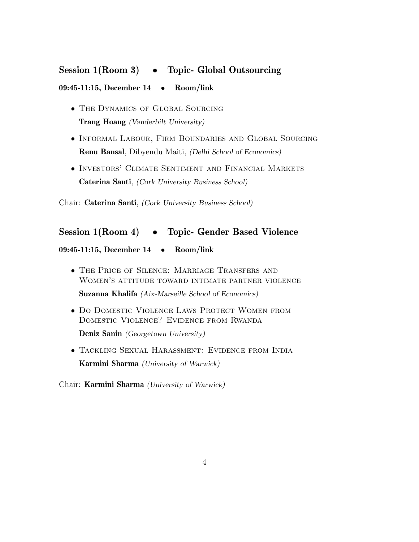# Session 1(Room 3) • Topic- Global Outsourcing 09:45-11:15, December 14 • Room/link

- The Dynamics of Global Sourcing Trang Hoang (Vanderbilt University)
- Informal Labour, Firm Boundaries and Global Sourcing Renu Bansal, Dibyendu Maiti, (Delhi School of Economics)
- Investors' Climate Sentiment and Financial Markets Caterina Santi, (Cork University Business School)

Chair: Caterina Santi, (Cork University Business School)

## Session 1(Room 4) • Topic- Gender Based Violence

#### 09:45-11:15, December 14 • Room/link

- The Price of Silence: Marriage Transfers and Women's attitude toward intimate partner violence Suzanna Khalifa (Aix-Marseille School of Economics)
- DO DOMESTIC VIOLENCE LAWS PROTECT WOMEN FROM Domestic Violence? Evidence from Rwanda Deniz Sanin (Georgetown University)
- Tackling Sexual Harassment: Evidence from India Karmini Sharma (University of Warwick)

Chair: Karmini Sharma (University of Warwick)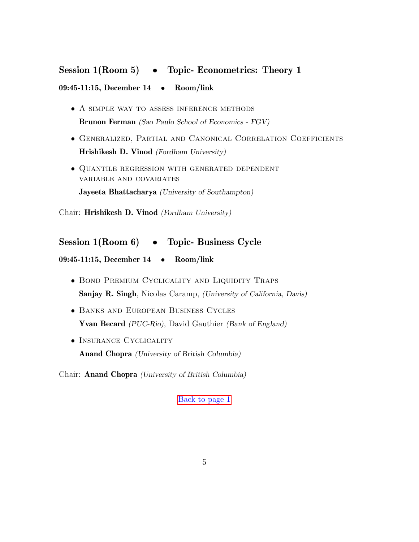# Session 1(Room 5) • Topic- Econometrics: Theory 1 09:45-11:15, December 14 • Room/link

- A simple way to assess inference methods Brunon Ferman (Sao Paulo School of Economics - FGV)
- Generalized, Partial and Canonical Correlation Coefficients Hrishikesh D. Vinod (Fordham University)
- Quantile regression with generated dependent variable and covariates Jayeeta Bhattacharya (University of Southampton)

Chair: Hrishikesh D. Vinod (Fordham University)

## Session 1(Room 6) • Topic- Business Cycle

09:45-11:15, December 14 • Room/link

- Bond Premium Cyclicality and Liquidity Traps Sanjay R. Singh, Nicolas Caramp, (University of California, Davis)
- Banks and European Business Cycles Yvan Becard (PUC-Rio), David Gauthier (Bank of England)
- INSURANCE CYCLICALITY Anand Chopra (University of British Columbia)

<span id="page-6-0"></span>Chair: Anand Chopra (University of British Columbia)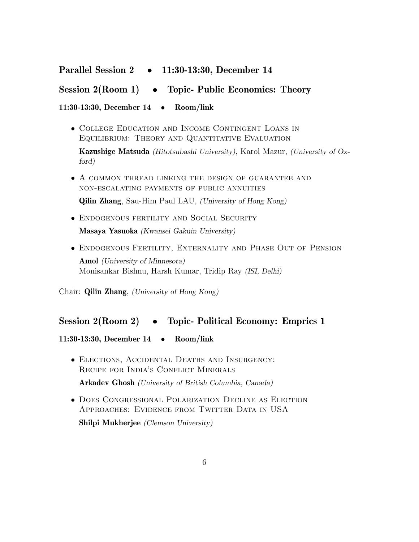## Parallel Session 2 • 11:30-13:30, December 14

## Session 2(Room 1) • Topic- Public Economics: Theory

#### 11:30-13:30, December 14 • Room/link

• College Education and Income Contingent Loans in Equilibrium: Theory and Quantitative Evaluation

Kazushige Matsuda (Hitotsubashi University), Karol Mazur, (University of Oxford)

• A common thread linking the design of guarantee and non-escalating payments of public annuities

Qilin Zhang, Sau-Him Paul LAU, (University of Hong Kong)

- Endogenous fertility and Social Security Masaya Yasuoka (Kwansei Gakuin University)
- Endogenous Fertility, Externality and Phase Out of Pension Amol (University of Minnesota)

Monisankar Bishnu, Harsh Kumar, Tridip Ray (ISI, Delhi)

Chair: Qilin Zhang, (University of Hong Kong)

## Session 2(Room 2) • Topic- Political Economy: Emprics 1

### 11:30-13:30, December 14 • Room/link

• Elections, Accidental Deaths and Insurgency: RECIPE FOR INDIA'S CONFLICT MINERALS

Arkadev Ghosh (University of British Columbia, Canada)

• Does Congressional Polarization Decline as Election APPROACHES: EVIDENCE FROM TWITTER DATA IN USA

Shilpi Mukherjee (Clemson University)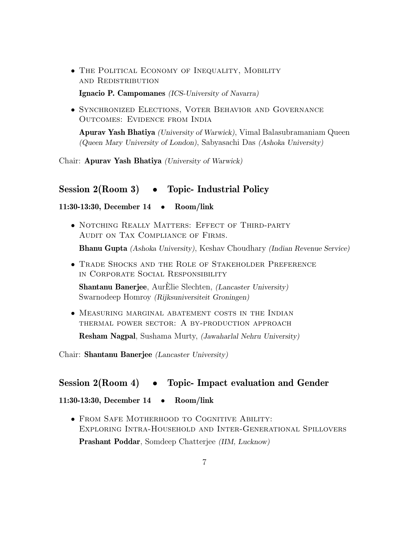• The Political Economy of Inequality, Mobility and Redistribution

Ignacio P. Campomanes (ICS-University of Navarra)

• Synchronized Elections, Voter Behavior and Governance Outcomes: Evidence from India

Apurav Yash Bhatiya (University of Warwick), Vimal Balasubramaniam Queen (Queen Mary University of London), Sabyasachi Das (Ashoka University)

Chair: Apurav Yash Bhatiya (University of Warwick)

#### Session 2(Room 3) • Topic- Industrial Policy

#### 11:30-13:30, December 14 • Room/link

• Notching Really Matters: Effect of Third-party Audit on Tax Compliance of Firms.

Bhanu Gupta (Ashoka University), Keshav Choudhary (Indian Revenue Service)

• Trade Shocks and the Role of Stakeholder Preference in Corporate Social Responsibility

**Shantanu Banerjee**, AurElie Slechten,  $(Lancaster University)$ Swarnodeep Homroy (Rijksuniversiteit Groningen)

• Measuring marginal abatement costs in the Indian thermal power sector: A by-production approach

Resham Nagpal, Sushama Murty, (Jawaharlal Nehru University)

Chair: Shantanu Banerjee (Lancaster University)

#### Session 2(Room 4) • Topic- Impact evaluation and Gender

11:30-13:30, December 14 • Room/link

• FROM SAFE MOTHERHOOD TO COGNITIVE ABILITY: Exploring Intra-Household and Inter-Generational Spillovers Prashant Poddar, Somdeep Chatterjee (IIM, Lucknow)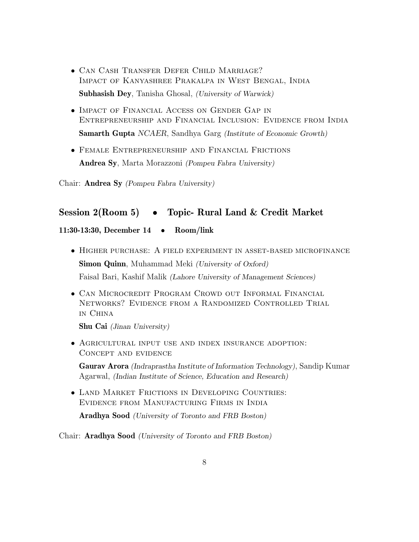- Can Cash Transfer Defer Child Marriage? Impact of Kanyashree Prakalpa in West Bengal, India Subhasish Dey, Tanisha Ghosal, (University of Warwick)
- Impact of Financial Access on Gender Gap in Entrepreneurship and Financial Inclusion: Evidence from India Samarth Gupta NCAER, Sandhya Garg (Institute of Economic Growth)
- Female Entrepreneurship and Financial Frictions Andrea Sy, Marta Morazzoni (Pompeu Fabra University)

Chair: Andrea Sy (Pompeu Fabra University)

## Session 2(Room 5) • Topic- Rural Land & Credit Market

#### 11:30-13:30, December 14 • Room/link

- Higher purchase: A field experiment in asset-based microfinance Simon Quinn, Muhammad Meki (University of Oxford) Faisal Bari, Kashif Malik (Lahore University of Management Sciences)
- Can Microcredit Program Crowd out Informal Financial Networks? Evidence from a Randomized Controlled Trial in China

Shu Cai (Jinan University)

• Agricultural input use and index insurance adoption: Concept and evidence

Gaurav Arora (Indraprastha Institute of Information Technology), Sandip Kumar Agarwal, (Indian Institute of Science, Education and Research)

• Land Market Frictions in Developing Countries: Evidence from Manufacturing Firms in India

Aradhya Sood (University of Toronto and FRB Boston)

Chair: Aradhya Sood (University of Toronto and FRB Boston)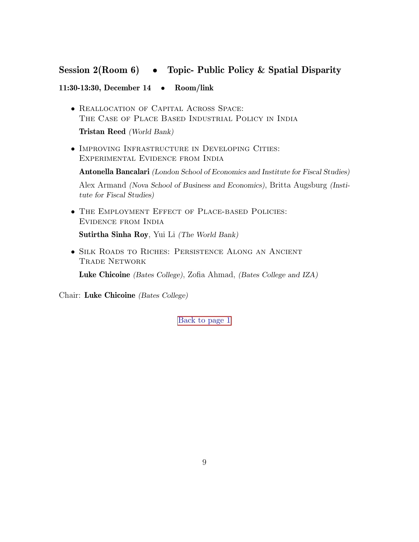## Session 2(Room 6) • Topic- Public Policy & Spatial Disparity

### 11:30-13:30, December 14 • Room/link

• Reallocation of Capital Across Space: The Case of Place Based Industrial Policy in India

Tristan Reed (World Bank)

• IMPROVING INFRASTRUCTURE IN DEVELOPING CITIES: Experimental Evidence from India

Antonella Bancalari (London School of Economics and Institute for Fiscal Studies) Alex Armand (Nova School of Business and Economics), Britta Augsburg (Institute for Fiscal Studies)

- The Employment Effect of Place-based Policies: Evidence from India Sutirtha Sinha Roy, Yui Li (The World Bank)
- Silk Roads to Riches: Persistence Along an Ancient Trade Network

Luke Chicoine (Bates College), Zofia Ahmad, (Bates College and IZA)

Chair: Luke Chicoine (Bates College)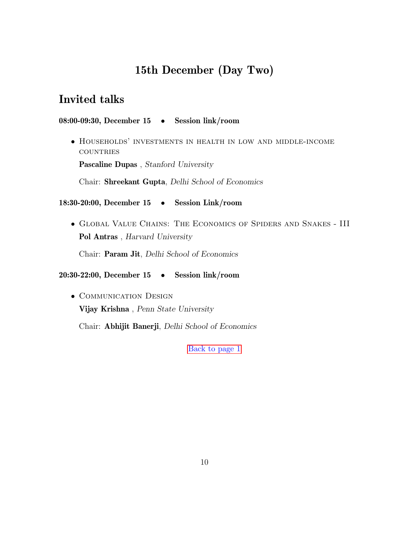# 15th December (Day Two)

## <span id="page-11-0"></span>Invited talks

#### 08:00-09:30, December 15 • Session link/room

• Households' investments in health in low and middle-income **COUNTRIES** 

Pascaline Dupas , Stanford University

Chair: Shreekant Gupta, Delhi School of Economics

#### 18:30-20:00, December 15 • Session Link/room

• Global Value Chains: The Economics of Spiders and Snakes - III Pol Antras , Harvard University

Chair: Param Jit, Delhi School of Economics

20:30-22:00, December 15 • Session link/room

• Communication Design Vijay Krishna , Penn State University

Chair: Abhijit Banerji, Delhi School of Economics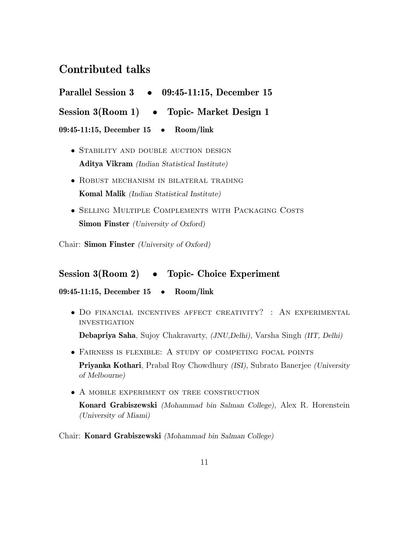## Contributed talks

<span id="page-12-0"></span>

| <b>Parallel Session 3</b><br>09:45-11:15, December 15 |  |
|-------------------------------------------------------|--|
|-------------------------------------------------------|--|

Session 3(Room 1) • Topic- Market Design 1

09:45-11:15, December 15 • Room/link

- STABILITY AND DOUBLE AUCTION DESIGN Aditya Vikram (Indian Statistical Institute)
- Robust mechanism in bilateral trading Komal Malik (Indian Statistical Institute)
- Selling Multiple Complements with Packaging Costs Simon Finster *(University of Oxford)*

Chair: Simon Finster (University of Oxford)

## Session 3(Room 2) • Topic- Choice Experiment

09:45-11:15, December 15 • Room/link

• Do financial incentives affect creativity? : An experimental **INVESTIGATION** 

Debapriya Saha, Sujoy Chakravarty, (JNU,Delhi), Varsha Singh (IIT, Delhi)

- Fairness is flexible: A study of competing focal points Priyanka Kothari, Prabal Roy Chowdhury (ISI), Subrato Banerjee (University of Melbourne)
- A MOBILE EXPERIMENT ON TREE CONSTRUCTION

Konard Grabiszewski (Mohammad bin Salman College), Alex R. Horenstein (University of Miami)

Chair: Konard Grabiszewski (Mohammad bin Salman College)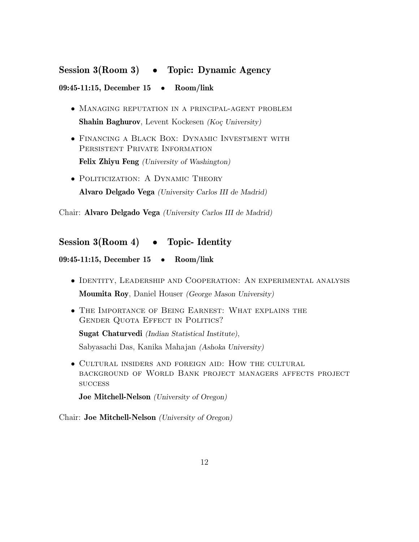## Session 3(Room 3) • Topic: Dynamic Agency

#### 09:45-11:15, December 15 • Room/link

- Managing reputation in a principal-agent problem Shahin Baghurov, Levent Kockesen (Koç University)
- Financing a Black Box: Dynamic Investment with Persistent Private Information Felix Zhiyu Feng (University of Washington)
- POLITICIZATION: A DYNAMIC THEORY Alvaro Delgado Vega (University Carlos III de Madrid)

Chair: Alvaro Delgado Vega (University Carlos III de Madrid)

## Session 3(Room 4) • Topic- Identity

09:45-11:15, December 15 • Room/link

- Identity, Leadership and Cooperation: An experimental analysis Moumita Roy, Daniel Houser (George Mason University)
- The Importance of Being Earnest: What explains the GENDER QUOTA EFFECT IN POLITICS?

Sugat Chaturvedi (Indian Statistical Institute),

Sabyasachi Das, Kanika Mahajan (Ashoka University)

• Cultural insiders and foreign aid: How the cultural background of World Bank project managers affects project **SUCCESS** 

Joe Mitchell-Nelson (University of Oregon)

Chair: Joe Mitchell-Nelson (University of Oregon)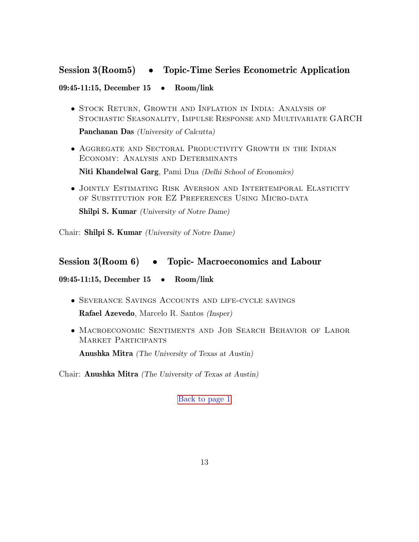## Session 3(Room5) • Topic-Time Series Econometric Application

### 09:45-11:15, December 15 • Room/link

• Stock Return, Growth and Inflation in India: Analysis of Stochastic Seasonality, Impulse Response and Multivariate GARCH

Panchanan Das (University of Calcutta)

• Aggregate and Sectoral Productivity Growth in the Indian Economy: Analysis and Determinants

Niti Khandelwal Garg, Pami Dua (Delhi School of Economics)

• Jointly Estimating Risk Aversion and Intertemporal Elasticity of Substitution for EZ Preferences Using Micro-data

Shilpi S. Kumar (University of Notre Dame)

Chair: Shilpi S. Kumar (University of Notre Dame)

## Session 3(Room 6) • Topic- Macroeconomics and Labour

09:45-11:15, December 15 • Room/link

- Severance Savings Accounts and life-cycle savings Rafael Azevedo, Marcelo R. Santos (Insper)
- Macroeconomic Sentiments and Job Search Behavior of Labor Market Participants

Anushka Mitra (The University of Texas at Austin)

Chair: Anushka Mitra (The University of Texas at Austin)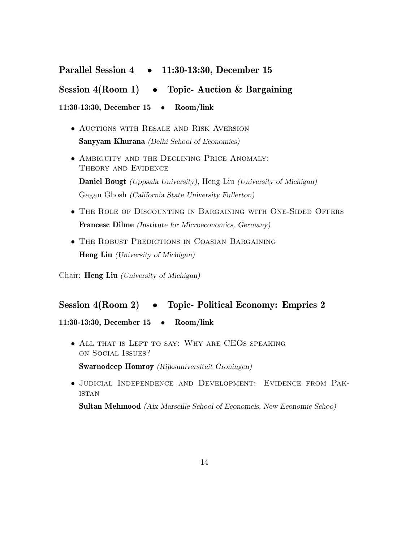# <span id="page-15-0"></span>Parallel Session 4 • 11:30-13:30, December 15 Session  $4(Room 1) \rightarrow Topic-$  Auction & Bargaining 11:30-13:30, December 15 • Room/link

- Auctions with Resale and Risk Aversion Sanyyam Khurana (Delhi School of Economics)
- Ambiguity and the Declining Price Anomaly: Theory and Evidence Daniel Bougt (Uppsala University), Heng Liu (University of Michigan) Gagan Ghosh (California State University Fullerton)
- The Role of Discounting in Bargaining with One-Sided Offers Francesc Dilme (Institute for Microeconomics, Germany)
- The Robust Predictions in Coasian Bargaining Heng Liu (University of Michigan)

Chair: Heng Liu (University of Michigan)

## Session 4(Room 2) • Topic- Political Economy: Emprics 2

11:30-13:30, December 15 • Room/link

• ALL THAT IS LEFT TO SAY: WHY ARE CEOS SPEAKING on Social Issues?

Swarnodeep Homroy (Rijksuniversiteit Groningen)

• Judicial Independence and Development: Evidence from Pak-**ISTAN** 

Sultan Mehmood (Aix Marseille School of Economcis, New Economic Schoo)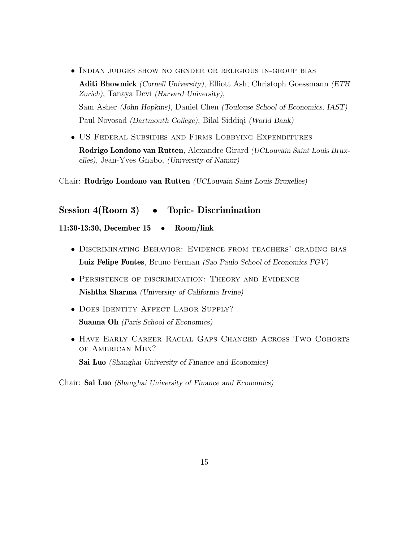• Indian judges show no gender or religious in-group bias

Aditi Bhowmick (Cornell University), Elliott Ash, Christoph Goessmann (ETH) Zurich), Tanaya Devi (Harvard University), Sam Asher (John Hopkins), Daniel Chen (Toulouse School of Economics, IAST) Paul Novosad (Dartmouth College), Bilal Siddiqi (World Bank)

• US Federal Subsidies and Firms Lobbying Expenditures Rodrigo Londono van Rutten, Alexandre Girard (UCLouvain Saint Louis Bruxelles), Jean-Yves Gnabo, (University of Namur)

Chair: Rodrigo Londono van Rutten (UCLouvain Saint Louis Bruxelles)

## Session 4(Room 3) • Topic- Discrimination

11:30-13:30, December 15 • Room/link

- Discriminating Behavior: Evidence from teachers' grading bias Luiz Felipe Fontes, Bruno Ferman (Sao Paulo School of Economics-FGV)
- Persistence of discrimination: Theory and Evidence Nishtha Sharma (University of California Irvine)
- DOES IDENTITY AFFECT LABOR SUPPLY? Suanna Oh (Paris School of Economics)
- Have Early Career Racial Gaps Changed Across Two Cohorts of American Men?

Sai Luo (Shanghai University of Finance and Economics)

Chair: Sai Luo (Shanghai University of Finance and Economics)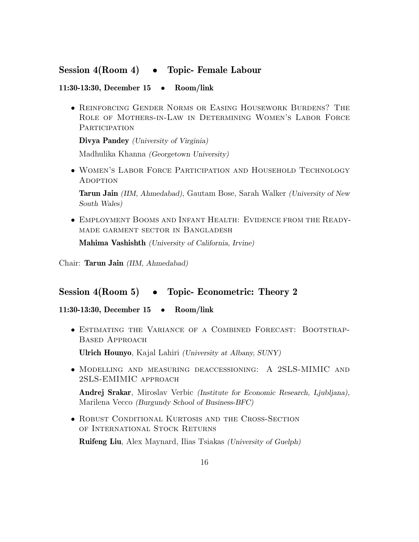## Session 4(Room 4) • Topic- Female Labour

#### 11:30-13:30, December 15 • Room/link

• Reinforcing Gender Norms or Easing Housework Burdens? The Role of Mothers-in-Law in Determining Women's Labor Force **PARTICIPATION** 

Divya Pandey (University of Virginia)

Madhulika Khanna (Georgetown University)

• Women's Labor Force Participation and Household Technology **ADOPTION** 

Tarun Jain (IIM, Ahmedabad), Gautam Bose, Sarah Walker (University of New South Wales)

• Employment Booms and Infant Health: Evidence from the Readymade garment sector in Bangladesh

Mahima Vashishth (University of California, Irvine)

Chair: Tarun Jain (IIM, Ahmedabad)

### Session 4(Room 5) • Topic- Econometric: Theory 2

#### 11:30-13:30, December 15 • Room/link

• Estimating the Variance of a Combined Forecast: Bootstrap-Based Approach

Ulrich Hounyo, Kajal Lahiri (University at Albany, SUNY)

• Modelling and measuring deaccessioning: A 2SLS-MIMIC and 2SLS-EMIMIC approach

Andrej Srakar, Miroslav Verbic (Institute for Economic Research, Ljubljana), Marilena Vecco (Burgundy School of Business-BFC)

• ROBUST CONDITIONAL KURTOSIS AND THE CROSS-SECTION of International Stock Returns

Ruifeng Liu, Alex Maynard, Ilias Tsiakas (University of Guelph)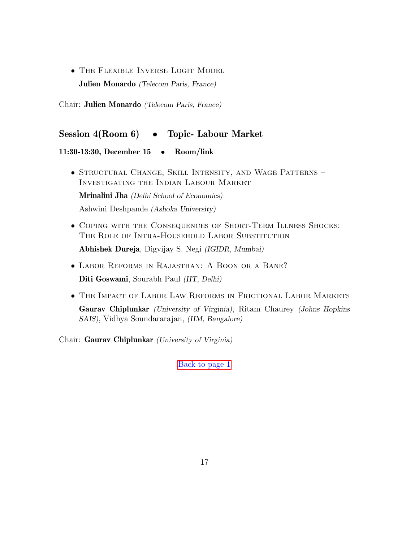• The Flexible Inverse Logit Model Julien Monardo (Telecom Paris, France)

Chair: Julien Monardo (Telecom Paris, France)

## Session 4(Room 6) • Topic- Labour Market

#### 11:30-13:30, December 15 • Room/link

- Structural Change, Skill Intensity, and Wage Patterns Investigating the Indian Labour Market Mrinalini Jha (Delhi School of Economics) Ashwini Deshpande (Ashoka University)
- Coping with the Consequences of Short-Term Illness Shocks: THE ROLE OF INTRA-HOUSEHOLD LABOR SUBSTITUTION Abhishek Dureja, Digvijay S. Negi (IGIDR, Mumbai)
- Labor Reforms in Rajasthan: A Boon or a Bane? Diti Goswami, Sourabh Paul (IIT, Delhi)
- The Impact of Labor Law Reforms in Frictional Labor Markets Gaurav Chiplunkar (University of Virginia), Ritam Chaurey (Johns Hopkins SAIS), Vidhya Soundararajan, (IIM, Bangalore)

Chair: Gaurav Chiplunkar (University of Virginia)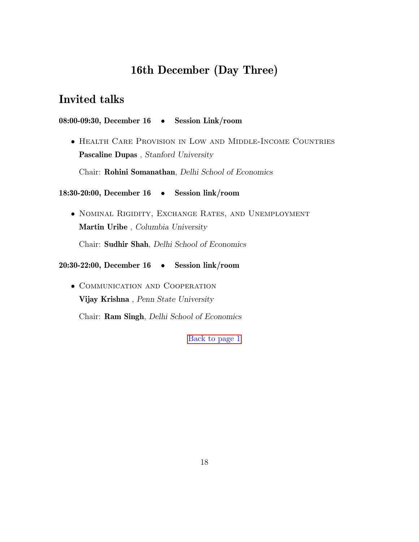# 16th December (Day Three)

## <span id="page-19-0"></span>Invited talks

#### 08:00-09:30, December 16 • Session Link/room

• Health Care Provision in Low and Middle-Income Countries Pascaline Dupas , Stanford University

Chair: Rohini Somanathan, Delhi School of Economics

18:30-20:00, December 16 • Session link/room

• Nominal Rigidity, Exchange Rates, and Unemployment Martin Uribe , Columbia University

Chair: Sudhir Shah, Delhi School of Economics

20:30-22:00, December 16 • Session link/room

• Communication and Cooperation Vijay Krishna , Penn State University Chair: Ram Singh, Delhi School of Economics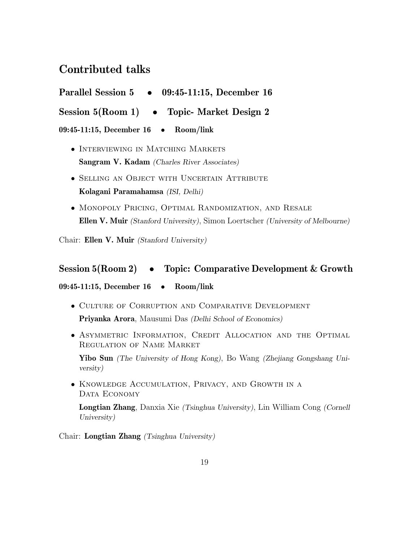## Contributed talks

<span id="page-20-0"></span>

| <b>Parallel Session 5</b> |  | 09:45-11:15, December 16 |  |  |
|---------------------------|--|--------------------------|--|--|
|---------------------------|--|--------------------------|--|--|

Session 5(Room 1) • Topic- Market Design 2

09:45-11:15, December 16 • Room/link

- INTERVIEWING IN MATCHING MARKETS Sangram V. Kadam (Charles River Associates)
- Selling an Object with Uncertain Attribute Kolagani Paramahamsa (ISI, Delhi)
- Monopoly Pricing, Optimal Randomization, and Resale Ellen V. Muir (Stanford University), Simon Loertscher (University of Melbourne)

Chair: Ellen V. Muir (Stanford University)

## Session 5(Room 2) • Topic: Comparative Development & Growth

09:45-11:15, December 16 • Room/link

- Culture of Corruption and Comparative Development Priyanka Arora, Mausumi Das (Delhi School of Economics)
- Asymmetric Information, Credit Allocation and the Optimal Regulation of Name Market

Yibo Sun (The University of Hong Kong), Bo Wang (Zhejiang Gongshang University)

• Knowledge Accumulation, Privacy, and Growth in a DATA ECONOMY

Longtian Zhang, Danxia Xie (Tsinghua University), Lin William Cong (Cornell University)

Chair: Longtian Zhang (Tsinghua University)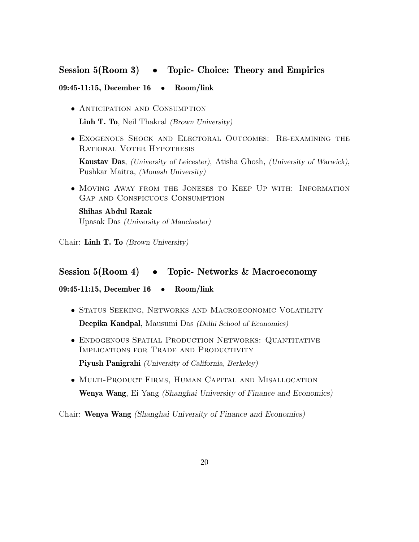## Session 5(Room 3) • Topic- Choice: Theory and Empirics

#### 09:45-11:15, December 16 • Room/link

- Anticipation and Consumption Linh T. To, Neil Thakral *(Brown University)*
- Exogenous Shock and Electoral Outcomes: Re-examining the Rational Voter Hypothesis

Kaustav Das, (University of Leicester), Atisha Ghosh, (University of Warwick), Pushkar Maitra, (Monash University)

• Moving Away from the Joneses to Keep Up with: Information Gap and Conspicuous Consumption

Shihas Abdul Razak Upasak Das (University of Manchester)

Chair: Linh T. To (Brown University)

#### Session 5(Room 4) • Topic- Networks & Macroeconomy

09:45-11:15, December 16 • Room/link

- STATUS SEEKING, NETWORKS AND MACROECONOMIC VOLATILITY Deepika Kandpal, Mausumi Das (Delhi School of Economics)
- Endogenous Spatial Production Networks: Quantitative Implications for Trade and Productivity

Piyush Panigrahi (University of California, Berkeley)

• Multi-Product Firms, Human Capital and Misallocation Wenya Wang, Ei Yang (Shanghai University of Finance and Economics)

Chair: Wenya Wang (Shanghai University of Finance and Economics)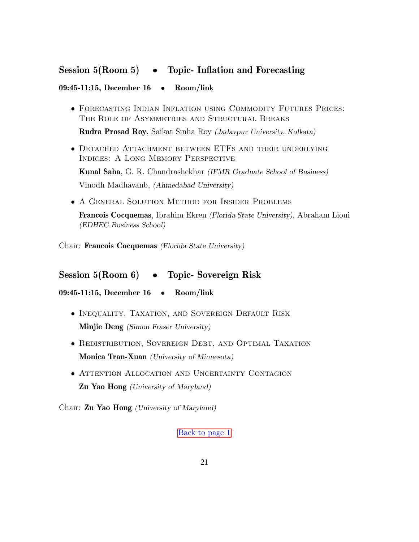## Session 5(Room 5) • Topic- Inflation and Forecasting

#### 09:45-11:15, December 16 • Room/link

• Forecasting Indian Inflation using Commodity Futures Prices: The Role of Asymmetries and Structural Breaks

Rudra Prosad Roy, Saikat Sinha Roy (Jadavpur University, Kolkata)

• Detached Attachment between ETFs and their underlying Indices: A Long Memory Perspective

Kunal Saha, G. R. Chandrashekhar (IFMR Graduate School of Business) Vinodh Madhavanb, (Ahmedabad University)

• A General Solution Method for Insider Problems

Francois Cocquemas, Ibrahim Ekren (Florida State University), Abraham Lioui (EDHEC Business School)

Chair: Francois Cocquemas (Florida State University)

## Session 5(Room 6) • Topic- Sovereign Risk

09:45-11:15, December 16 • Room/link

- Inequality, Taxation, and Sovereign Default Risk Minjie Deng (Simon Fraser University)
- Redistribution, Sovereign Debt, and Optimal Taxation Monica Tran-Xuan (University of Minnesota)
- ATTENTION ALLOCATION AND UNCERTAINTY CONTAGION Zu Yao Hong (University of Maryland)

<span id="page-22-0"></span>Chair: Zu Yao Hong (University of Maryland)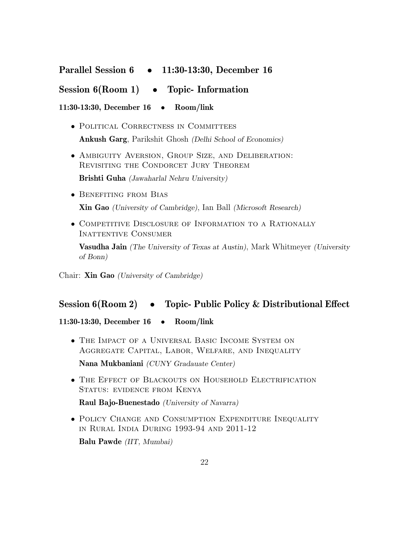## Parallel Session 6 • 11:30-13:30, December 16

## Session  $6(Room 1) \rightarrow Topic- Information$

11:30-13:30, December 16 • Room/link

- POLITICAL CORRECTNESS IN COMMITTEES Ankush Garg, Parikshit Ghosh (Delhi School of Economics)
- Ambiguity Aversion, Group Size, and Deliberation: REVISITING THE CONDORCET JURY THEOREM

Brishti Guha (Jawaharlal Nehru University)

• Benefiting from Bias

Xin Gao (University of Cambridge), Ian Ball (Microsoft Research)

• COMPETITIVE DISCLOSURE OF INFORMATION TO A RATIONALLY INATTENTIVE CONSUMER

**Vasudha Jain** (The University of Texas at Austin), Mark Whitmeyer (University of Bonn)

Chair: Xin Gao (University of Cambridge)

### Session 6(Room 2) • Topic- Public Policy & Distributional Effect

11:30-13:30, December 16 • Room/link

- The Impact of a Universal Basic Income System on Aggregate Capital, Labor, Welfare, and Inequality Nana Mukbaniani (CUNY Gradauate Center)
- The Effect of Blackouts on Household Electrification STATUS: EVIDENCE FROM KENYA

Raul Bajo-Buenestado (University of Navarra)

• Policy Change and Consumption Expenditure Inequality in Rural India During 1993-94 and 2011-12

Balu Pawde (IIT, Mumbai)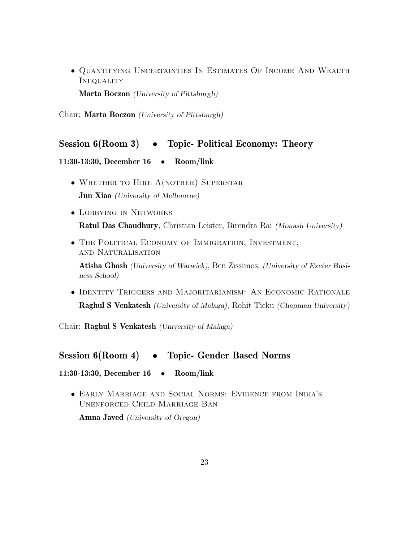• Quantifying Uncertainties In Estimates Of Income And Wealth **INEQUALITY** 

Marta Boczon (University of Pittsburgh)

Chair: Marta Boczon (University of Pittsburgh)

## Session 6(Room 3) • Topic- Political Economy: Theory

#### 11:30-13:30, December 16 • Room/link

- WHETHER TO HIRE A(NOTHER) SUPERSTAR Jun Xiao (University of Melbourne)
- Lobbying in Networks Ratul Das Chaudhury, Christian Leister, Birendra Rai (Monash University)
- The Political Economy of Immigration, Investment, and Naturalisation

Atisha Ghosh (University of Warwick), Ben Zissimos, (University of Exeter Business School)

• Identity Triggers and Majoritarianism: An Economic Rationale Raghul S Venkatesh (University of Malaga), Rohit Ticku (Chapman University)

Chair: Raghul S Venkatesh (University of Malaga)

### Session 6(Room 4) • Topic- Gender Based Norms

11:30-13:30, December 16 • Room/link

• Early Marriage and Social Norms: Evidence from India's Unenforced Child Marriage Ban

Amna Javed (University of Oregon)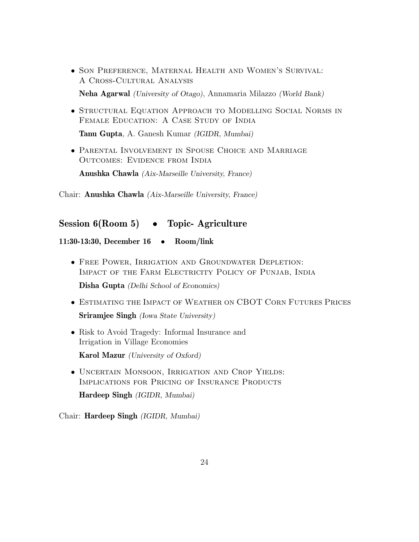- Son Preference, Maternal Health and Women's Survival: A Cross-Cultural Analysis Neha Agarwal (University of Otago), Annamaria Milazzo (World Bank)
- Structural Equation Approach to Modelling Social Norms in FEMALE EDUCATION: A CASE STUDY OF INDIA

Tanu Gupta, A. Ganesh Kumar (IGIDR, Mumbai)

• Parental Involvement in Spouse Choice and Marriage Outcomes: Evidence from India

Anushka Chawla (Aix-Marseille University, France)

Chair: Anushka Chawla (Aix-Marseille University, France)

## Session 6(Room 5) • Topic-Agriculture

#### 11:30-13:30, December 16 • Room/link

• Free Power, Irrigation and Groundwater Depletion: IMPACT OF THE FARM ELECTRICITY POLICY OF PUNJAB, INDIA

Disha Gupta (Delhi School of Economics)

- Estimating the Impact of Weather on CBOT Corn Futures Prices Sriramjee Singh (Iowa State University)
- Risk to Avoid Tragedy: Informal Insurance and Irrigation in Village Economies

Karol Mazur (University of Oxford)

• Uncertain Monsoon, Irrigation and Crop Yields: IMPLICATIONS FOR PRICING OF INSURANCE PRODUCTS

Hardeep Singh (IGIDR, Mumbai)

Chair: Hardeep Singh (IGIDR, Mumbai)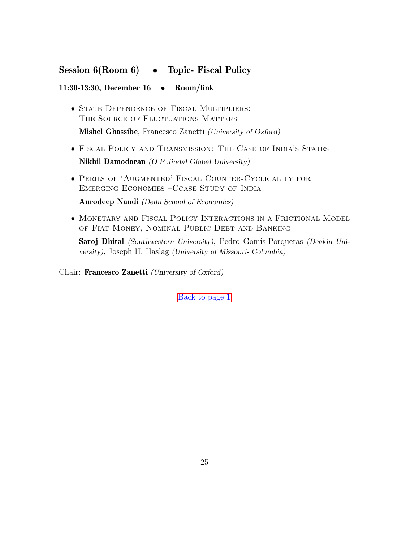## Session 6(Room 6) • Topic- Fiscal Policy

#### 11:30-13:30, December 16 • Room/link

• STATE DEPENDENCE OF FISCAL MULTIPLIERS: THE SOURCE OF FLUCTUATIONS MATTERS

Mishel Ghassibe, Francesco Zanetti (University of Oxford)

- Fiscal Policy and Transmission: The Case of India's States Nikhil Damodaran (O P Jindal Global University)
- Perils of 'Augmented' Fiscal Counter-Cyclicality for Emerging Economies –Ccase Study of India

Aurodeep Nandi (Delhi School of Economics)

• Monetary and Fiscal Policy Interactions in a Frictional Model of Fiat Money, Nominal Public Debt and Banking

Saroj Dhital (Southwestern University), Pedro Gomis-Porqueras (Deakin University), Joseph H. Haslag (University of Missouri- Columbia)

Chair: Francesco Zanetti (University of Oxford)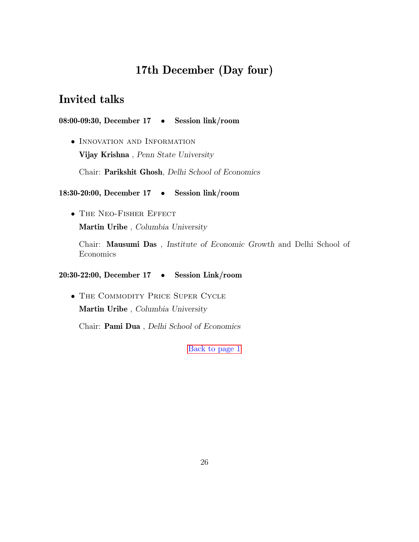# 17th December (Day four)

## <span id="page-27-0"></span>Invited talks

08:00-09:30, December 17 • Session link/room

• Innovation and Information Vijay Krishna , Penn State University

Chair: Parikshit Ghosh, Delhi School of Economics

#### 18:30-20:00, December 17 • Session link/room

• The Neo-Fisher Effect Martin Uribe , Columbia University

Chair: Mausumi Das , Institute of Economic Growth and Delhi School of Economics

20:30-22:00, December 17 • Session Link/room

• The Commodity Price Super Cycle Martin Uribe , Columbia University

Chair: Pami Dua , Delhi School of Economics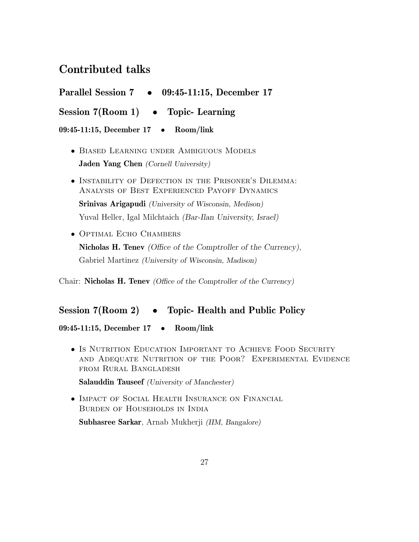## Contributed talks

<span id="page-28-0"></span>

| Parallel Session 7 • 09:45-11:15, December 17                                                                                                                                                                                                                                                                                                                                                                                                                                  |  |  |  |  |
|--------------------------------------------------------------------------------------------------------------------------------------------------------------------------------------------------------------------------------------------------------------------------------------------------------------------------------------------------------------------------------------------------------------------------------------------------------------------------------|--|--|--|--|
| Session $7(Room 1) \rightarrow Topic$ - Learning                                                                                                                                                                                                                                                                                                                                                                                                                               |  |  |  |  |
| 09:45-11:15, December 17 . Room/link                                                                                                                                                                                                                                                                                                                                                                                                                                           |  |  |  |  |
| • BIASED LEARNING UNDER AMBIGUOUS MODELS<br><b>Jaden Yang Chen</b> (Cornell University)                                                                                                                                                                                                                                                                                                                                                                                        |  |  |  |  |
| • INSTABILITY OF DEFECTION IN THE PRISONER'S DILEMMA:<br>ANALYSIS OF BEST EXPERIENCED PAYOFF DYNAMICS                                                                                                                                                                                                                                                                                                                                                                          |  |  |  |  |
| <b>Srinivas Arigapudi</b> (University of Wisconsin, Medison)                                                                                                                                                                                                                                                                                                                                                                                                                   |  |  |  |  |
| Yuval Heller, Igal Milchtaich (Bar-Ilan University, Israel)                                                                                                                                                                                                                                                                                                                                                                                                                    |  |  |  |  |
| $\Omega$ = $\equiv$ $\blacksquare$ = $\blacksquare$ $\blacksquare$ = $\blacksquare$ $\blacksquare$ $\blacksquare$ = $\blacksquare$ $\blacksquare$ = $\blacksquare$ $\blacksquare$ $\blacksquare$ $\blacksquare$ $\blacksquare$ $\blacksquare$ $\blacksquare$ $\blacksquare$ $\blacksquare$ $\blacksquare$ $\blacksquare$ $\blacksquare$ $\blacksquare$ $\blacksquare$ $\blacksquare$ $\blacksquare$ $\blacksquare$ $\blacksquare$ $\blacksquare$ $\blacksquare$ $\blacksquare$ |  |  |  |  |

• OPTIMAL ECHO CHAMBERS Nicholas H. Tenev (Office of the Comptroller of the Currency), Gabriel Martinez (University of Wisconsin, Madison)

Chair: Nicholas H. Tenev (Office of the Comptroller of the Currency)

## Session 7(Room 2) • Topic- Health and Public Policy

09:45-11:15, December 17 • Room/link

• Is Nutrition Education Important to Achieve Food Security and Adequate Nutrition of the Poor? Experimental Evidence from Rural Bangladesh

Salauddin Tauseef (University of Manchester)

• Impact of Social Health Insurance on Financial Burden of Households in India

Subhasree Sarkar, Arnab Mukherji (IIM, Bangalore)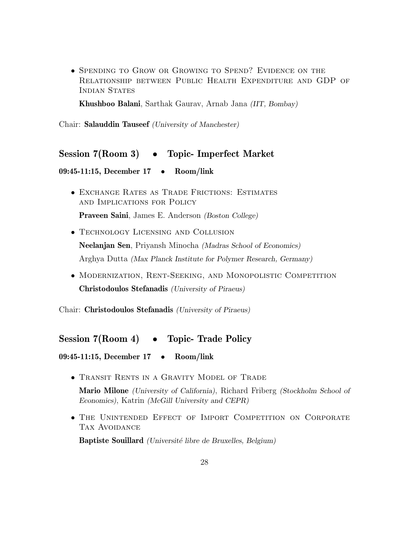• Spending to Grow or Growing to Spend? Evidence on the Relationship between Public Health Expenditure and GDP of INDIAN STATES

Khushboo Balani, Sarthak Gaurav, Arnab Jana (IIT, Bombay)

Chair: Salauddin Tauseef (University of Manchester)

## Session 7(Room 3) • Topic- Imperfect Market

09:45-11:15, December 17 • Room/link

- Exchange Rates as Trade Frictions: Estimates and Implications for Policy Praveen Saini, James E. Anderson (Boston College)
- Technology Licensing and Collusion Neelanjan Sen, Priyansh Minocha (Madras School of Economics) Arghya Dutta (Max Planck Institute for Polymer Research, Germany)
- Modernization, Rent-Seeking, and Monopolistic Competition Christodoulos Stefanadis (University of Piraeus)

Chair: Christodoulos Stefanadis (University of Piraeus)

#### Session 7(Room 4) • Topic- Trade Policy

```
09:45-11:15, December 17 • Room/link
```
• TRANSIT RENTS IN A GRAVITY MODEL OF TRADE

Mario Milone (University of California), Richard Friberg (Stockholm School of Economics), Katrin (McGill University and CEPR)

• The Unintended Effect of Import Competition on Corporate TAX AVOIDANCE

Baptiste Souillard (Université libre de Bruxelles, Belgium)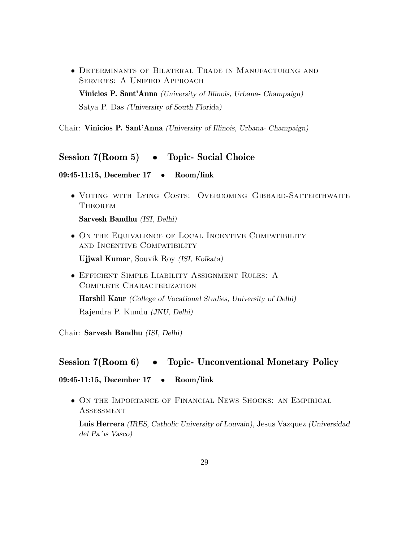• Determinants of Bilateral Trade in Manufacturing and SERVICES: A UNIFIED APPROACH Vinicios P. Sant'Anna (University of Illinois, Urbana- Champaign) Satya P. Das (University of South Florida)

Chair: Vinicios P. Sant'Anna (University of Illinois, Urbana- Champaign)

#### Session 7(Room 5) • Topic- Social Choice

#### 09:45-11:15, December 17 • Room/link

• Voting with Lying Costs: Overcoming Gibbard-Satterthwaite **THEOREM** 

Sarvesh Bandhu (ISI, Delhi)

• On the Equivalence of Local Incentive Compatibility and Incentive Compatibility

Ujjwal Kumar, Souvik Roy (ISI, Kolkata)

• Efficient Simple Liability Assignment Rules: A COMPLETE CHARACTERIZATION

Harshil Kaur (College of Vocational Studies, University of Delhi) Rajendra P. Kundu (JNU, Delhi)

Chair: Sarvesh Bandhu (ISI, Delhi)

### Session 7(Room 6) • Topic- Unconventional Monetary Policy

09:45-11:15, December 17 • Room/link

• On the Importance of Financial News Shocks: an Empirical **ASSESSMENT** 

Luis Herrera (IRES, Catholic University of Louvain), Jesus Vazquez (Universidad del Pa´ıs Vasco)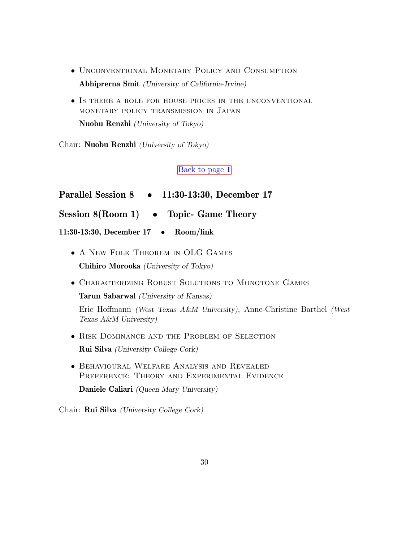- Unconventional Monetary Policy and Consumption Abhiprerna Smit (University of California-Irvine)
- Is there a role for house prices in the unconventional monetary policy transmission in Japan

Nuobu Renzhi (University of Tokyo)

Chair: Nuobu Renzhi (University of Tokyo)

#### [Back to page 1](#page-2-0)

- <span id="page-31-0"></span>Parallel Session 8 • 11:30-13:30, December 17
- Session 8(Room 1) Topic- Game Theory

11:30-13:30, December 17 • Room/link

- A NEW FOLK THEOREM IN OLG GAMES Chihiro Morooka (University of Tokyo)
- Characterizing Robust Solutions to Monotone Games

Tarun Sabarwal (University of Kansas)

Eric Hoffmann (West Texas A&M University), Anne-Christine Barthel (West Texas A&M University)

- Risk Dominance and the Problem of Selection Rui Silva (University College Cork)
- Behavioural Welfare Analysis and Revealed PREFERENCE: THEORY AND EXPERIMENTAL EVIDENCE Daniele Caliari (Queen Mary University)

Chair: Rui Silva (University College Cork)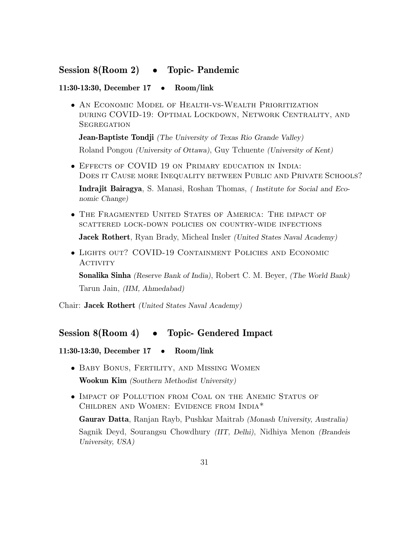## Session 8(Room 2) • Topic- Pandemic

#### 11:30-13:30, December 17 • Room/link

• An Economic Model of Health-vs-Wealth Prioritization during COVID-19: Optimal Lockdown, Network Centrality, and **SEGREGATION** 

**Jean-Baptiste Tondji** (The University of Texas Rio Grande Valley) Roland Pongou (University of Ottawa), Guy Tchuente (University of Kent)

• Effects of COVID 19 on Primary education in India: Does it Cause more Inequality between Public and Private Schools? Indrajit Bairagya, S. Manasi, Roshan Thomas, ( Institute for Social and Eco-

nomic Change)

- The Fragmented United States of America: The impact of scattered lock-down policies on country-wide infections Jacek Rothert, Ryan Brady, Micheal Insler (United States Naval Academy)
- Lights out? COVID-19 Containment Policies and Economic **ACTIVITY**

Sonalika Sinha (Reserve Bank of India), Robert C. M. Beyer, (The World Bank) Tarun Jain, (IIM, Ahmedabad)

Chair: Jacek Rothert (United States Naval Academy)

### Session 8(Room 4) • Topic- Gendered Impact

#### 11:30-13:30, December 17 • Room/link

- Baby Bonus, Fertility, and Missing Women Wookun Kim (Southern Methodist University)
- Impact of Pollution from Coal on the Anemic Status of Children and Women: Evidence from India\*

Gaurav Datta, Ranjan Rayb, Pushkar Maitrab (Monash University, Australia) Sagnik Deyd, Sourangsu Chowdhury (IIT, Delhi), Nidhiya Menon (Brandeis University, USA)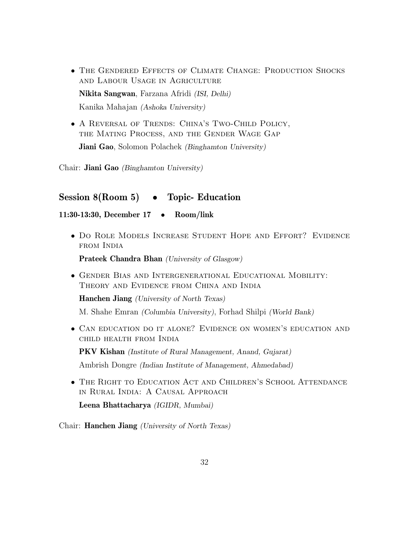• The Gendered Effects of Climate Change: Production Shocks and Labour Usage in Agriculture Nikita Sangwan, Farzana Afridi (ISI, Delhi)

Kanika Mahajan (Ashoka University)

• A Reversal of Trends: China's Two-Child Policy, the Mating Process, and the Gender Wage Gap Jiani Gao, Solomon Polachek (Binghamton University)

Chair: Jiani Gao (Binghamton University)

### Session 8(Room 5) • Topic- Education

#### 11:30-13:30, December 17 • Room/link

• Do Role Models Increase Student Hope and Effort? Evidence from India

Prateek Chandra Bhan (University of Glasgow)

• Gender Bias and Intergenerational Educational Mobility: Theory and Evidence from China and India

Hanchen Jiang (University of North Texas)

M. Shahe Emran (Columbia University), Forhad Shilpi (World Bank)

• Can education do it alone? Evidence on women's education and child health from India

PKV Kishan (Institute of Rural Management, Anand, Gujarat) Ambrish Dongre (Indian Institute of Management, Ahmedabad)

• The Right to Education Act and Children's School Attendance in Rural India: A Causal Approach

Leena Bhattacharya (IGIDR, Mumbai)

Chair: Hanchen Jiang (University of North Texas)